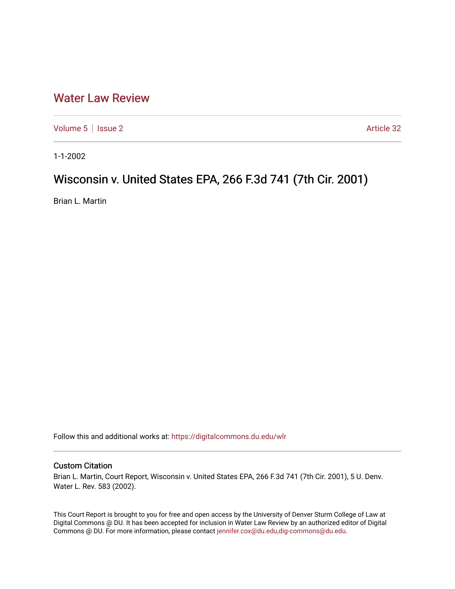## [Water Law Review](https://digitalcommons.du.edu/wlr)

[Volume 5](https://digitalcommons.du.edu/wlr/vol5) | [Issue 2](https://digitalcommons.du.edu/wlr/vol5/iss2) Article 32

1-1-2002

## Wisconsin v. United States EPA, 266 F.3d 741 (7th Cir. 2001)

Brian L. Martin

Follow this and additional works at: [https://digitalcommons.du.edu/wlr](https://digitalcommons.du.edu/wlr?utm_source=digitalcommons.du.edu%2Fwlr%2Fvol5%2Fiss2%2F32&utm_medium=PDF&utm_campaign=PDFCoverPages) 

## Custom Citation

Brian L. Martin, Court Report, Wisconsin v. United States EPA, 266 F.3d 741 (7th Cir. 2001), 5 U. Denv. Water L. Rev. 583 (2002).

This Court Report is brought to you for free and open access by the University of Denver Sturm College of Law at Digital Commons @ DU. It has been accepted for inclusion in Water Law Review by an authorized editor of Digital Commons @ DU. For more information, please contact [jennifer.cox@du.edu,dig-commons@du.edu.](mailto:jennifer.cox@du.edu,dig-commons@du.edu)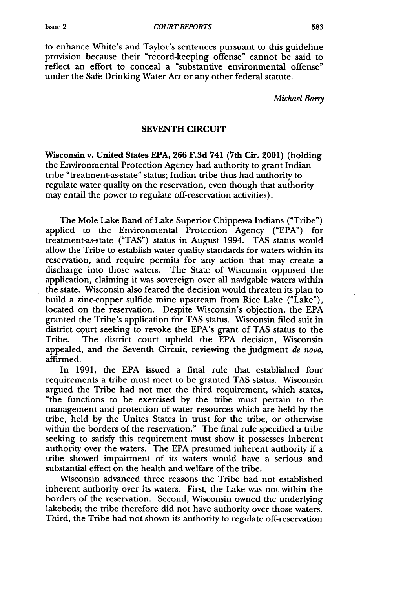to enhance White's and Taylor's sentences pursuant to this guideline provision because their "record-keeping offense" cannot be said to reflect an effort to conceal a "substantive environmental offense" under the Safe Drinking Water Act or any other federal statute.

*Michael Barry*

## **SEVENTH CIRCUIT**

Wisconsin v. United States **EPA, 266 F.3d 741 (7th Cir. 2001)** (holding the Environmental Protection Agency had authority to grant Indian tribe "treatment-as-state" status; Indian tribe thus had authority to regulate water quality on the reservation, even though that authority may entail the power to regulate off-reservation activities).

The Mole Lake Band of Lake Superior Chippewa Indians ("Tribe") applied to the Environmental Protection Agency ("EPA") for treatment-as-state ("TAS") status in August 1994. TAS status would allow the Tribe to establish water quality standards for waters within its reservation, and require permits for any action that may create a discharge into those waters. The State of Wisconsin opposed the application, claiming it was sovereign over all navigable waters within the state. Wisconsin also feared the decision would threaten its plan to build a zinc-copper sulfide mine upstream from Rice Lake ("Lake"), located on the reservation. Despite Wisconsin's objection, the EPA granted the Tribe's application for TAS status. Wisconsin filed suit in district court seeking to revoke the EPA's grant of TAS status to the Tribe. The district court upheld the EPA decision, Wisconsin appealed, and the Seventh Circuit, reviewing the judgment *de novo,* affirmed.

In 1991, the EPA issued a final rule that established four requirements a tribe must meet to be granted TAS status. Wisconsin argued the Tribe had not met the third requirement, which states, "the functions to be exercised by the tribe must pertain to the management and protection of water resources which are held by the tribe, held by the Unites States in trust for the tribe, or otherwise within the borders of the reservation." The final rule specified a tribe seeking to satisfy this requirement must show it possesses inherent authority over the waters. The EPA presumed inherent authority if a tribe showed impairment of its waters would have a serious and substantial effect on the health and welfare of the tribe.

Wisconsin advanced three reasons the Tribe had not established inherent authority over its waters. First, the Lake was not within the borders of the reservation. Second, Wisconsin owned the underlying lakebeds; the tribe therefore did not have authority over those waters. Third, the Tribe had not shown its authority to regulate off-reservation